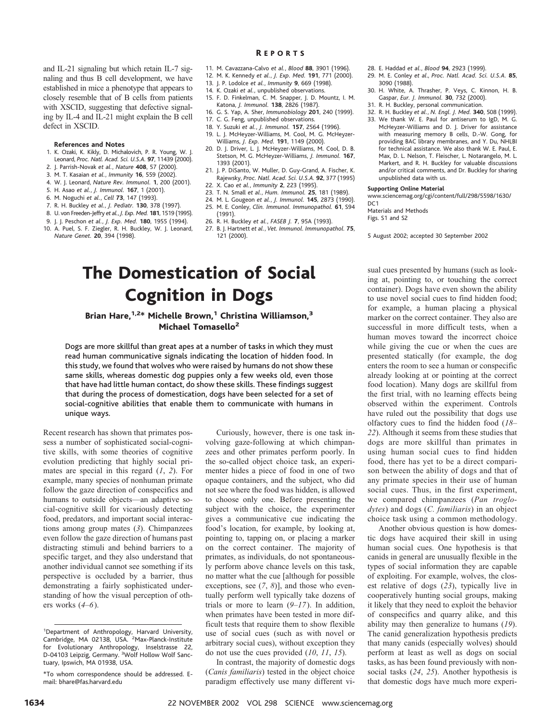and IL-21 signaling but which retain IL-7 signaling and thus B cell development, we have established in mice a phenotype that appears to closely resemble that of B cells from patients with XSCID, suggesting that defective signaling by IL-4 and IL-21 might explain the B cell defect in XSCID.

#### **References and Notes**

- 1. K. Ozaki, K. Kikly, D. Michalovich, P. R. Young, W. J. Leonard, *Proc. Natl. Acad. Sci. U.S.A.* **97**, 11439(2000).
- 2. J. Parrish-Novak *et al.*, *Nature* **408**, 57 (2000).
- 3. M. T. Kasaian *et al.*, *Immunity* **16**, 559(2002).
- 4. W. J. Leonard, *Nature Rev. Immunol.* **1**, 200 (2001).
- 5. H. Asao *et al.*, *J. Immunol.* **167**, 1 (2001).
- 6. M. Noguchi *et al.*, *Cell* **73**, 147 (1993).
- 7. R. H. Buckley *et al.*, *J. Pediatr.* **130**, 378 (1997).
- 8. U. von Freeden-Jeffry *et al.*, *J. Exp. Med.* **181**, 1519 (1995).
- 9. J. J. Peschon *et al.*, *J. Exp. Med.* **180**, 1955 (1994).
- 10. A. Puel, S. F. Ziegler, R. H. Buckley, W. J. Leonard, *Nature Genet.* **20**, 394 (1998).
- R EPORTS
- 11. M. Cavazzana-Calvo *et al.*, *Blood* **88**, 3901 (1996).
- 12. M. K. Kennedy *et al.*, *J. Exp. Med.* **191**, 771 (2000).
- 13. J. P. Lodolce *et al.*, *Immunity* **9**, 669 (1998).
- 14. K. Ozaki *et al.*, unpublished observations.
- 15. F. D. Finkelman, C. M. Snapper, J. D. Mountz, I. M. Katona, *J. Immunol.* **138**, 2826 (1987).
- 16. G. S. Yap, A. Sher, *Immunobiology* **201**, 240 (1999). 17. C. G. Feng, unpublished observations.
- 
- 18. Y. Suzuki *et al.*, *J. Immunol.* **157**, 2564 (1996). L. J. McHeyzer-Williams, M. Cool, M. G. McHeyzer-Williams, *J. Exp. Med.* **191**, 1149(2000).
- 20. D. J. Driver, L. J. McHeyzer-Williams, M. Cool, D. B. Stetson, M. G. McHeyzer-Williams, *J. Immunol.* **167**, 1393 (2001).
- 21. J. P. DiSanto, W. Muller, D. Guy-Grand, A. Fischer, K. Rajewsky, *Proc. Natl. Acad. Sci. U.S.A.* **92**, 377 (1995)
- 22. X. Cao *et al.*, *Immunity* **2**, 223 (1995).
- 23. T. N. Small *et al.*, *Hum. Immunol.* **25**, 181 (1989).
- 24. M. L. Gougeon *et al.*, *J. Immunol.* **145**, 2873 (1990).
- 25. M. E. Conley, *Clin. Immunol. Immunopathol.* **61**, S9 4
- (1991). 26. R. H. Buckley *et al.*, *FASEB J.* **7**, 95A (1993).
- 27. B. J. Hartnett *et al.*, *Vet. Immunol. Immunopathol.* **75**, 121 (2000).

# The Domestication of Social Cognition in Dogs

## Brian Hare,  $1.2*$  Michelle Brown,<sup>1</sup> Christina Williamson,<sup>3</sup> Michael Tomasello<sup>2</sup>

Dogs are more skillful than great apes at a number of tasks in which they must read human communicative signals indicating the location of hidden food. In this study, we found that wolves who were raised by humans do not show these same skills, whereas domestic dog puppies only a few weeks old, even those that have had little human contact, do show these skills. These findings suggest that during the process of domestication, dogs have been selected for a set of social-cognitive abilities that enable them to communicate with humans in unique ways.

Recent research has shown that primates possess a number of sophisticated social-cognitive skills, with some theories of cognitive evolution predicting that highly social primates are special in this regard (*1*, *2*). For example, many species of nonhuman primate follow the gaze direction of conspecifics and humans to outside objects—an adaptive social-cognitive skill for vicariously detecting food, predators, and important social interactions among group mates (*3*). Chimpanzees even follow the gaze direction of humans past distracting stimuli and behind barriers to a specific target, and they also understand that another individual cannot see something if its perspective is occluded by a barrier, thus demonstrating a fairly sophisticated understanding of how the visual perception of others works (*4*–*6*).

Curiously, however, there is one task involving gaze-following at which chimpanzees and other primates perform poorly. In the so-called object choice task, an experimenter hides a piece of food in one of two opaque containers, and the subject, who did not see where the food was hidden, is allowed to choose only one. Before presenting the subject with the choice, the experimenter gives a communicative cue indicating the food's location, for example, by looking at, pointing to, tapping on, or placing a marker on the correct container. The majority of primates, as individuals, do not spontaneously perform above chance levels on this task, no matter what the cue [although for possible exceptions, see (*7*, *8*)], and those who eventually perform well typically take dozens of trials or more to learn (*9*–*17*). In addition, when primates have been tested in more difficult tests that require them to show flexible use of social cues (such as with novel or arbitrary social cues), without exception they do not use the cues provided (*10*, *11*, *15*).

In contrast, the majority of domestic dogs (*Canis familiaris*) tested in the object choice paradigm effectively use many different vi-

- 28. E. Haddad *et al.*, *Blood* **94**, 2923 (1999).
- 29. M. E. Conley *et al*., *Proc. Natl. Acad. Sci. U.S.A.* **85**, 3090 (1988).
- 30. H. White, A. Thrasher, P. Veys, C. Kinnon, H. B. Gaspar, *Eur. J. Immunol.* **30**, 732 (2000).
- 31. R. H. Buckley, personal communication.
- 32. R. H. Buckley *et al.*, *N. Engl. J. Med.* **340**, 508 (1999).
- 33. We thank W. E. Paul for antiserum to IgD, M. G. McHeyzer-Williams and D. J. Driver for assistance with measuring memory B cells, D.-W. Gong, for providing BAC library membranes, and Y. Du, NHLBI for technical assistance. We also thank W. E. Paul, E. Max, D. L. Nelson, T. Fleischer, L. Notarangelo, M. L. Markert, and R. H. Buckley for valuable discussions and/or critical comments, and Dr. Buckley for sharing unpublished data with us.

### **Supporting Online Material**

www.sciencemag.org/cgi/content/full/298/5598/1630/ DC<sub>1</sub>

Materials and Methods

Figs. S1 and S2

5 August 2002; accepted 30 September 2002

sual cues presented by humans (such as looking at, pointing to, or touching the correct container). Dogs have even shown the ability to use novel social cues to find hidden food; for example, a human placing a physical marker on the correct container. They also are successful in more difficult tests, when a human moves toward the incorrect choice while giving the cue or when the cues are presented statically (for example, the dog enters the room to see a human or conspecific already looking at or pointing at the correct food location). Many dogs are skillful from the first trial, with no learning effects being observed within the experiment. Controls have ruled out the possibility that dogs use olfactory cues to find the hidden food (*18*– *22*). Although it seems from these studies that dogs are more skillful than primates in using human social cues to find hidden food, there has yet to be a direct comparison between the ability of dogs and that of any primate species in their use of human social cues. Thus, in the first experiment, we compared chimpanzees (*Pan troglodytes*) and dogs (*C. familiaris*) in an object choice task using a common methodology.

Another obvious question is how domestic dogs have acquired their skill in using human social cues. One hypothesis is that canids in general are unusually flexible in the types of social information they are capable of exploiting. For example, wolves, the closest relative of dogs (*23*), typically live in cooperatively hunting social groups, making it likely that they need to exploit the behavior of conspecifics and quarry alike, and this ability may then generalize to humans (*19*). The canid generalization hypothesis predicts that many canids (especially wolves) should perform at least as well as dogs on social tasks, as has been found previously with nonsocial tasks (*24*, *25*). Another hypothesis is that domestic dogs have much more experi-

<sup>&</sup>lt;sup>1</sup>Department of Anthropology, Harvard University,<br>Cambridge, MA 02138, USA. <sup>2</sup>Max-Planck-Institute for Evolutionary Anthropology, Inselstrasse 22, D-04103 Leipzig, Germany. <sup>3</sup>Wolf Hollow Wolf Sanctuary, Ipswich, MA 01938, USA.

<sup>\*</sup>To whom correspondence should be addressed. Email: bhare@fas.harvard.edu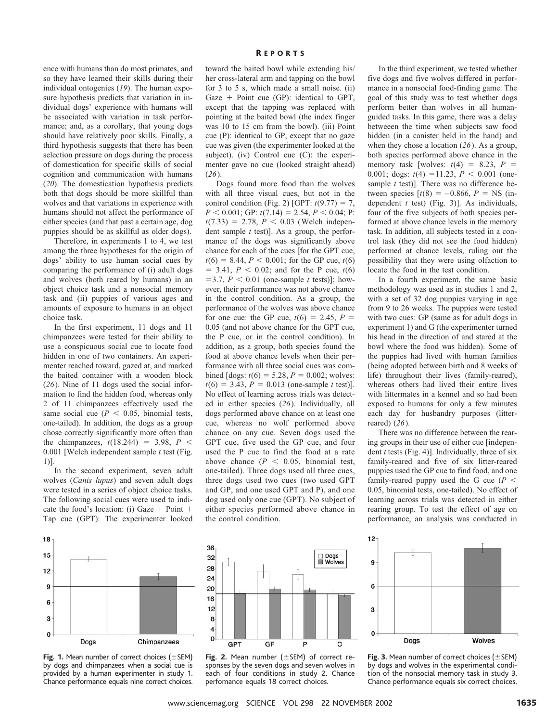ence with humans than do most primates, and so they have learned their skills during their individual ontogenies (*19*). The human exposure hypothesis predicts that variation in individual dogs' experience with humans will be associated with variation in task performance; and, as a corollary, that young dogs should have relatively poor skills. Finally, a third hypothesis suggests that there has been selection pressure on dogs during the process of domestication for specific skills of social cognition and communication with humans (*20*). The domestication hypothesis predicts both that dogs should be more skillful than wolves and that variations in experience with humans should not affect the performance of either species (and that past a certain age, dog puppies should be as skillful as older dogs).

Therefore, in experiments 1 to 4, we test among the three hypotheses for the origin of dogs' ability to use human social cues by comparing the performance of (i) adult dogs and wolves (both reared by humans) in an object choice task and a nonsocial memory task and (ii) puppies of various ages and amounts of exposure to humans in an object choice task.

In the first experiment, 11 dogs and 11 chimpanzees were tested for their ability to use a conspicuous social cue to locate food hidden in one of two containers. An experimenter reached toward, gazed at, and marked the baited container with a wooden block (*26*). Nine of 11 dogs used the social information to find the hidden food, whereas only 2 of 11 chimpanzees effectively used the same social cue ( $P < 0.05$ , binomial tests, one-tailed). In addition, the dogs as a group chose correctly significantly more often than the chimpanzees,  $t(18.244) = 3.98, P <$ 0.001 [Welch independent sample *t* test (Fig. 1)].

In the second experiment, seven adult wolves (*Canis lupus*) and seven adult dogs were tested in a series of object choice tasks. The following social cues were used to indicate the food's location: (i) Gaze  $+$  Point  $+$ Tap cue (GPT): The experimenter looked



Dogs found more food than the wolves with all three visual cues, but not in the control condition (Fig. 2) [GPT:  $t(9.77) = 7$ ,  $P < 0.001$ ; GP:  $t(7.14) = 2.54$ ,  $P < 0.04$ ; P:  $t(7.33) = 2.78, P < 0.03$  (Welch independent sample *t* test)]. As a group, the performance of the dogs was significantly above chance for each of the cues [for the GPT cue,  $t(6) = 8.44, P < 0.001$ ; for the GP cue,  $t(6)$  $=$  3.41,  $P < 0.02$ ; and for the P cue,  $t(6)$  $=$  3.7,  $P \le 0.01$  (one-sample *t* tests)]; however, their performance was not above chance in the control condition. As a group, the performance of the wolves was above chance for one cue: the GP cue,  $t(6) = 2.45$ ,  $P =$ 0.05 (and not above chance for the GPT cue, the P cue, or in the control condition). In addition, as a group, both species found the food at above chance levels when their performance with all three social cues was com- $\text{bined [days: } t(6) = 5.28, P = 0.002; \text{wolves:}$  $t(6) = 3.43, P = 0.013$  (one-sample *t* test)]. No effect of learning across trials was detected in either species (*26*). Individually, all dogs performed above chance on at least one cue, whereas no wolf performed above chance on any cue. Seven dogs used the GPT cue, five used the GP cue, and four used the P cue to find the food at a rate above chance  $(P < 0.05$ , binomial test, one-tailed). Three dogs used all three cues, three dogs used two cues (two used GPT and GP, and one used GPT and P), and one dog used only one cue (GPT). No subject of either species performed above chance in the control condition.

toward the baited bowl while extending his/ her cross-lateral arm and tapping on the bowl for 3 to 5 s, which made a small noise. (ii) Gaze  $+$  Point cue (GP): identical to GPT, except that the tapping was replaced with pointing at the baited bowl (the index finger was 10 to 15 cm from the bowl). (iii) Point cue (P): identical to GP, except that no gaze cue was given (the experimenter looked at the

R EPORTS

In the third experiment, we tested whether five dogs and five wolves differed in performance in a nonsocial food-finding game. The goal of this study was to test whether dogs perform better than wolves in all humanguided tasks. In this game, there was a delay betweeen the time when subjects saw food hidden (in a canister held in the hand) and when they chose a location (*26*). As a group, both species performed above chance in the memory task [wolves:  $t(4) = 8.23$ ,  $P =$ 0.001; dogs:  $t(4) = 11.23$ ,  $P < 0.001$  (onesample *t* test)]. There was no difference between species  $[t(8) = -0.866, P = \text{NS (in-}$ dependent *t* test) (Fig. 3)]. As individuals, four of the five subjects of both species performed at above chance levels in the memory task. In addition, all subjects tested in a control task (they did not see the food hidden) performed at chance levels, ruling out the possibility that they were using olfaction to locate the food in the test condition.

In a fourth experiment, the same basic methodology was used as in studies 1 and 2, with a set of 32 dog puppies varying in age from 9 to 26 weeks. The puppies were tested with two cues: GP (same as for adult dogs in experiment 1) and G (the experimenter turned his head in the direction of and stared at the bowl where the food was hidden). Some of the puppies had lived with human families (being adopted between birth and 8 weeks of life) throughout their lives (family-reared), whereas others had lived their entire lives with littermates in a kennel and so had been exposed to humans for only a few minutes each day for husbandry purposes (litterreared) (*26*).

There was no difference between the rearing groups in their use of either cue [independent *t* tests (Fig. 4)]. Individually, three of six family-reared and five of six litter-reared puppies used the GP cue to find food, and one family-reared puppy used the G cue  $(P <$ 0.05, binomial tests, one-tailed). No effect of learning across trials was detected in either rearing group. To test the effect of age on performance, an analysis was conducted in



Fig. 1. Mean number of correct choices  $(\pm$ SEM) by dogs and chimpanzees when a social cue is provided by a human experimenter in study 1. Chance performance equals nine correct choices.



Fig. 2. Mean number  $(\pm$  SEM) of correct responses by the seven dogs and seven wolves in each of four conditions in study 2. Chance perfomance equals 18 correct choices.



Fig. 3. Mean number of correct choices  $(\pm$  SEM) by dogs and wolves in the experimental condition of the nonsocial memory task in study 3. Chance performance equals six correct choices.